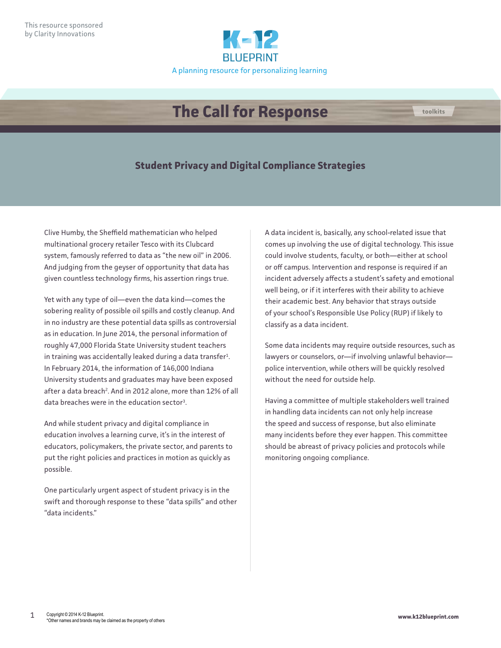

## **The Call for Response toolkits**

## **Student Privacy and Digital Compliance Strategies**

Clive Humby, the Sheffield mathematician who helped multinational grocery retailer Tesco with its Clubcard system, famously referred to data as "the new oil" in 2006. And judging from the geyser of opportunity that data has given countless technology firms, his assertion rings true.

Yet with any type of oil—even the data kind—comes the sobering reality of possible oil spills and costly cleanup. And in no industry are these potential data spills as controversial as in education. In June 2014, the personal information of roughly 47,000 Florida State University student teachers in training was accidentally leaked during a data transfer $^{1}$ . In February 2014, the information of 146,000 Indiana University students and graduates may have been exposed after a data breach<sup>2</sup>. And in 2012 alone, more than 12% of all data breaches were in the education sector<sup>3</sup>.

And while student privacy and digital compliance in education involves a learning curve, it's in the interest of educators, policymakers, the private sector, and parents to put the right policies and practices in motion as quickly as possible.

One particularly urgent aspect of student privacy is in the swift and thorough response to these "data spills" and other "data incidents."

A data incident is, basically, any school-related issue that comes up involving the use of digital technology. This issue could involve students, faculty, or both—either at school or off campus. Intervention and response is required if an incident adversely affects a student's safety and emotional well being, or if it interferes with their ability to achieve their academic best. Any behavior that strays outside of your school's Responsible Use Policy (RUP) if likely to classify as a data incident.

Some data incidents may require outside resources, such as lawyers or counselors, or—if involving unlawful behavior police intervention, while others will be quickly resolved without the need for outside help.

Having a committee of multiple stakeholders well trained in handling data incidents can not only help increase the speed and success of response, but also eliminate many incidents before they ever happen. This committee should be abreast of privacy policies and protocols while monitoring ongoing compliance.